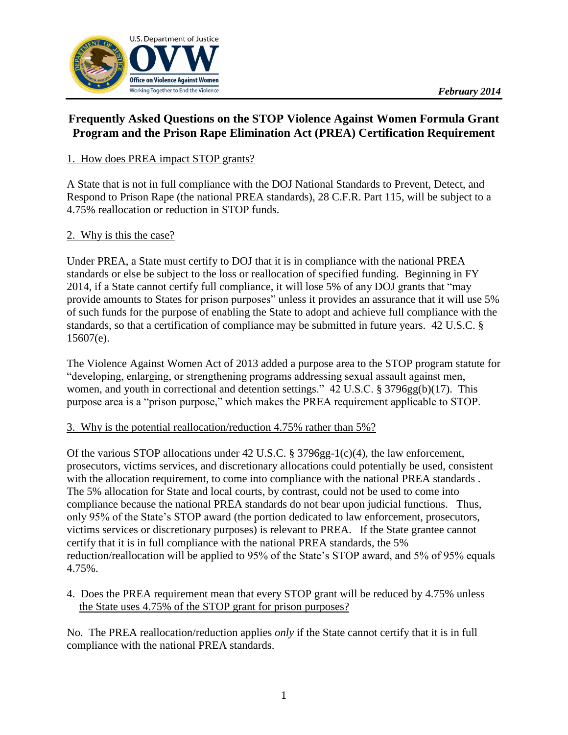

# **Frequently Asked Questions on the STOP Violence Against Women Formula Grant Program and the Prison Rape Elimination Act (PREA) Certification Requirement**

## 1. How does PREA impact STOP grants?

A State that is not in full compliance with the DOJ National Standards to Prevent, Detect, and Respond to Prison Rape (the national PREA standards), 28 C.F.R. Part 115, will be subject to a 4.75% reallocation or reduction in STOP funds.

### 2. Why is this the case?

Under PREA, a State must certify to DOJ that it is in compliance with the national PREA standards or else be subject to the loss or reallocation of specified funding. Beginning in FY 2014, if a State cannot certify full compliance, it will lose 5% of any DOJ grants that "may provide amounts to States for prison purposes" unless it provides an assurance that it will use 5% of such funds for the purpose of enabling the State to adopt and achieve full compliance with the standards, so that a certification of compliance may be submitted in future years. 42 U.S.C. § 15607(e).

The Violence Against Women Act of 2013 added a purpose area to the STOP program statute for "developing, enlarging, or strengthening programs addressing sexual assault against men, women, and youth in correctional and detention settings." 42 U.S.C. § 3796gg(b)(17). This purpose area is a "prison purpose," which makes the PREA requirement applicable to STOP.

### 3. Why is the potential reallocation/reduction 4.75% rather than 5%?

Of the various STOP allocations under 42 U.S.C. § 3796gg-1(c)(4), the law enforcement, prosecutors, victims services, and discretionary allocations could potentially be used, consistent with the allocation requirement, to come into compliance with the national PREA standards. The 5% allocation for State and local courts, by contrast, could not be used to come into compliance because the national PREA standards do not bear upon judicial functions. Thus, only 95% of the State's STOP award (the portion dedicated to law enforcement, prosecutors, victims services or discretionary purposes) is relevant to PREA. If the State grantee cannot certify that it is in full compliance with the national PREA standards, the 5% reduction/reallocation will be applied to 95% of the State's STOP award, and 5% of 95% equals 4.75%.

#### 4. Does the PREA requirement mean that every STOP grant will be reduced by 4.75% unless the State uses 4.75% of the STOP grant for prison purposes?

No. The PREA reallocation/reduction applies *only* if the State cannot certify that it is in full compliance with the national PREA standards.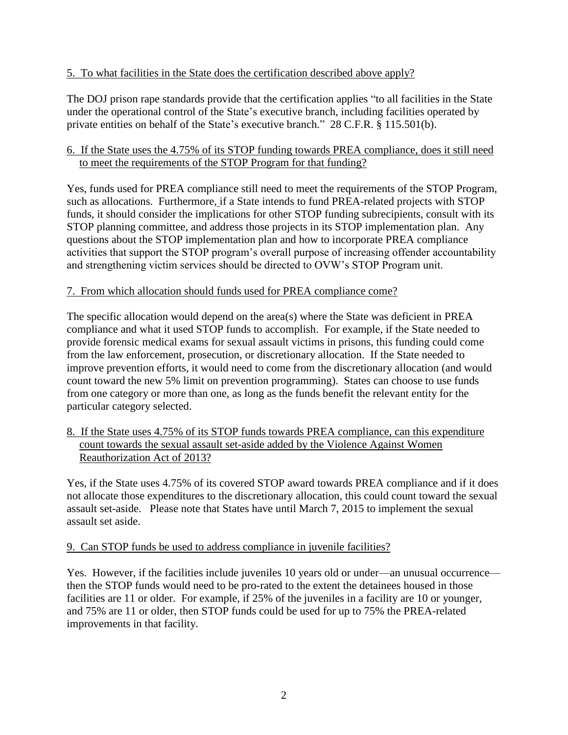### 5. To what facilities in the State does the certification described above apply?

The DOJ prison rape standards provide that the certification applies "to all facilities in the State under the operational control of the State's executive branch, including facilities operated by private entities on behalf of the State's executive branch." 28 C.F.R. § 115.501(b).

### 6. If the State uses the 4.75% of its STOP funding towards PREA compliance, does it still need to meet the requirements of the STOP Program for that funding?

Yes, funds used for PREA compliance still need to meet the requirements of the STOP Program, such as allocations. Furthermore, if a State intends to fund PREA-related projects with STOP funds, it should consider the implications for other STOP funding subrecipients, consult with its STOP planning committee, and address those projects in its STOP implementation plan. Any questions about the STOP implementation plan and how to incorporate PREA compliance activities that support the STOP program's overall purpose of increasing offender accountability and strengthening victim services should be directed to OVW's STOP Program unit.

### 7. From which allocation should funds used for PREA compliance come?

The specific allocation would depend on the area(s) where the State was deficient in PREA compliance and what it used STOP funds to accomplish. For example, if the State needed to provide forensic medical exams for sexual assault victims in prisons, this funding could come from the law enforcement, prosecution, or discretionary allocation. If the State needed to improve prevention efforts, it would need to come from the discretionary allocation (and would count toward the new 5% limit on prevention programming). States can choose to use funds from one category or more than one, as long as the funds benefit the relevant entity for the particular category selected.

### 8. If the State uses 4.75% of its STOP funds towards PREA compliance, can this expenditure count towards the sexual assault set-aside added by the Violence Against Women Reauthorization Act of 2013?

Yes, if the State uses 4.75% of its covered STOP award towards PREA compliance and if it does not allocate those expenditures to the discretionary allocation, this could count toward the sexual assault set-aside. Please note that States have until March 7, 2015 to implement the sexual assault set aside.

### 9. Can STOP funds be used to address compliance in juvenile facilities?

Yes. However, if the facilities include juveniles 10 years old or under—an unusual occurrence then the STOP funds would need to be pro-rated to the extent the detainees housed in those facilities are 11 or older. For example, if 25% of the juveniles in a facility are 10 or younger, and 75% are 11 or older, then STOP funds could be used for up to 75% the PREA-related improvements in that facility.